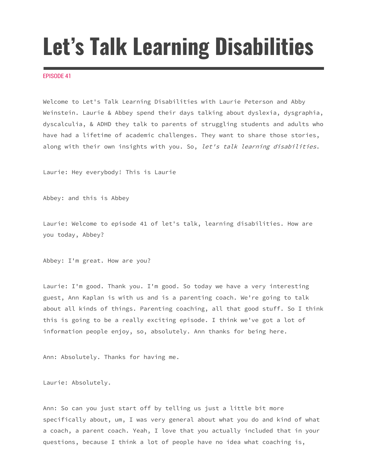## **Let's Talk Learning Disabilities**

## EPISODE 41

Welcome to Let's Talk Learning Disabilities with Laurie Peterson and Abby Weinstein. Laurie & Abbey spend their days talking about dyslexia, dysgraphia, dyscalculia, & ADHD they talk to parents of struggling students and adults who have had a lifetime of academic challenges. They want to share those stories, along with their own insights with you. So, let's talk learning disabilities.

Laurie: Hey everybody! This is Laurie

Abbey: and this is Abbey

Laurie: Welcome to episode 41 of let's talk, learning disabilities. How are you today, Abbey?

Abbey: I'm great. How are you?

Laurie: I'm good. Thank you. I'm good. So today we have a very interesting guest, Ann Kaplan is with us and is a parenting coach. We're going to talk about all kinds of things. Parenting coaching, all that good stuff. So I think this is going to be a really exciting episode. I think we've got a lot of information people enjoy, so, absolutely. Ann thanks for being here.

Ann: Absolutely. Thanks for having me.

Laurie: Absolutely.

Ann: So can you just start off by telling us just a little bit more specifically about, um, I was very general about what you do and kind of what a coach, a parent coach. Yeah, I love that you actually included that in your questions, because I think a lot of people have no idea what coaching is,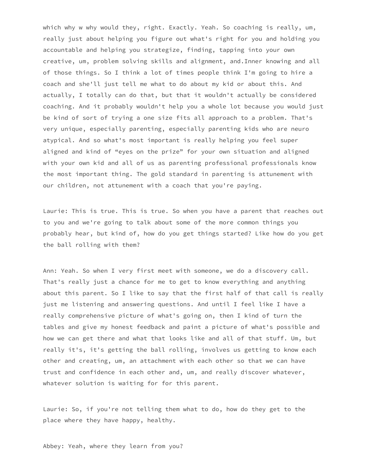which why w why would they, right. Exactly. Yeah. So coaching is really, um, really just about helping you figure out what's right for you and holding you accountable and helping you strategize, finding, tapping into your own creative, um, problem solving skills and alignment, and.Inner knowing and all of those things. So I think a lot of times people think I'm going to hire a coach and she'll just tell me what to do about my kid or about this. And actually, I totally can do that, but that it wouldn't actually be considered coaching. And it probably wouldn't help you a whole lot because you would just be kind of sort of trying a one size fits all approach to a problem. That's very unique, especially parenting, especially parenting kids who are neuro atypical. And so what's most important is really helping you feel super aligned and kind of "eyes on the prize" for your own situation and aligned with your own kid and all of us as parenting professional professionals know the most important thing. The gold standard in parenting is attunement with our children, not attunement with a coach that you're paying.

Laurie: This is true. This is true. So when you have a parent that reaches out to you and we're going to talk about some of the more common things you probably hear, but kind of, how do you get things started? Like how do you get the ball rolling with them?

Ann: Yeah. So when I very first meet with someone, we do a discovery call. That's really just a chance for me to get to know everything and anything about this parent. So I like to say that the first half of that call is really just me listening and answering questions. And until I feel like I have a really comprehensive picture of what's going on, then I kind of turn the tables and give my honest feedback and paint a picture of what's possible and how we can get there and what that looks like and all of that stuff. Um, but really it's, it's getting the ball rolling, involves us getting to know each other and creating, um, an attachment with each other so that we can have trust and confidence in each other and, um, and really discover whatever, whatever solution is waiting for for this parent.

Laurie: So, if you're not telling them what to do, how do they get to the place where they have happy, healthy.

Abbey: Yeah, where they learn from you?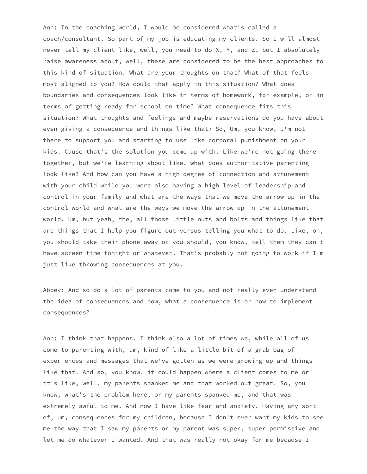Ann: In the coaching world, I would be considered what's called a coach/consultant. So part of my job is educating my clients. So I will almost never tell my client like, well, you need to do X, Y, and Z, but I absolutely raise awareness about, well, these are considered to be the best approaches to this kind of situation. What are your thoughts on that? What of that feels most aligned to you? How could that apply in this situation? What does boundaries and consequences look like in terms of homework, for example, or in terms of getting ready for school on time? What consequence fits this situation? What thoughts and feelings and maybe reservations do you have about even giving a consequence and things like that? So, Um, you know, I'm not there to support you and starting to use like corporal punishment on your kids. Cause that's the solution you come up with. Like we're not going there together, but we're learning about like, what does authoritative parenting look like? And how can you have a high degree of connection and attunement with your child while you were also having a high level of leadership and control in your family and what are the ways that we move the arrow up in the control world and what are the ways we move the arrow up in the attunement world. Um, but yeah, the, all those little nuts and bolts and things like that are things that I help you figure out versus telling you what to do. Like, oh, you should take their phone away or you should, you know, tell them they can't have screen time tonight or whatever. That's probably not going to work if I'm just like throwing consequences at you.

Abbey: And so do a lot of parents come to you and not really even understand the idea of consequences and how, what a consequence is or how to implement consequences?

Ann: I think that happens. I think also a lot of times we, while all of us come to parenting with, um, kind of like a little bit of a grab bag of experiences and messages that we've gotten as we were growing up and things like that. And so, you know, it could happen where a client comes to me or it's like, well, my parents spanked me and that worked out great. So, you know, what's the problem here, or my parents spanked me, and that was extremely awful to me. And now I have like fear and anxiety. Having any sort of, um, consequences for my children, because I don't ever want my kids to see me the way that I saw my parents or my parent was super, super permissive and let me do whatever I wanted. And that was really not okay for me because I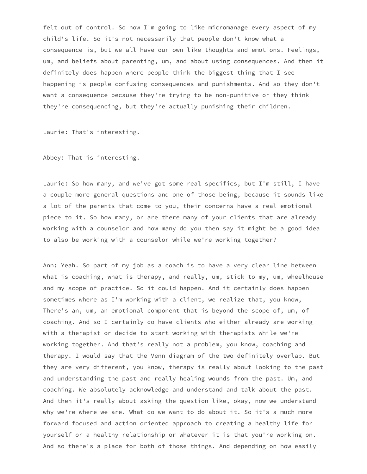felt out of control. So now I'm going to like micromanage every aspect of my child's life. So it's not necessarily that people don't know what a consequence is, but we all have our own like thoughts and emotions. Feelings, um, and beliefs about parenting, um, and about using consequences. And then it definitely does happen where people think the biggest thing that I see happening is people confusing consequences and punishments. And so they don't want a consequence because they're trying to be non-punitive or they think they're consequencing, but they're actually punishing their children.

Laurie: That's interesting.

Abbey: That is interesting.

Laurie: So how many, and we've got some real specifics, but I'm still, I have a couple more general questions and one of those being, because it sounds like a lot of the parents that come to you, their concerns have a real emotional piece to it. So how many, or are there many of your clients that are already working with a counselor and how many do you then say it might be a good idea to also be working with a counselor while we're working together?

Ann: Yeah. So part of my job as a coach is to have a very clear line between what is coaching, what is therapy, and really, um, stick to my, um, wheelhouse and my scope of practice. So it could happen. And it certainly does happen sometimes where as I'm working with a client, we realize that, you know, There's an, um, an emotional component that is beyond the scope of, um, of coaching. And so I certainly do have clients who either already are working with a therapist or decide to start working with therapists while we're working together. And that's really not a problem, you know, coaching and therapy. I would say that the Venn diagram of the two definitely overlap. But they are very different, you know, therapy is really about looking to the past and understanding the past and really healing wounds from the past. Um, and coaching. We absolutely acknowledge and understand and talk about the past. And then it's really about asking the question like, okay, now we understand why we're where we are. What do we want to do about it. So it's a much more forward focused and action oriented approach to creating a healthy life for yourself or a healthy relationship or whatever it is that you're working on. And so there's a place for both of those things. And depending on how easily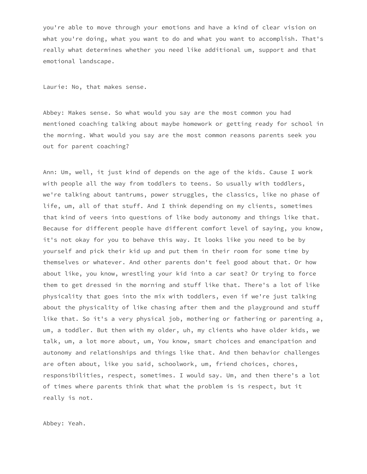you're able to move through your emotions and have a kind of clear vision on what you're doing, what you want to do and what you want to accomplish. That's really what determines whether you need like additional um, support and that emotional landscape.

Laurie: No, that makes sense.

Abbey: Makes sense. So what would you say are the most common you had mentioned coaching talking about maybe homework or getting ready for school in the morning. What would you say are the most common reasons parents seek you out for parent coaching?

Ann: Um, well, it just kind of depends on the age of the kids. Cause I work with people all the way from toddlers to teens. So usually with toddlers, we're talking about tantrums, power struggles, the classics, like no phase of life, um, all of that stuff. And I think depending on my clients, sometimes that kind of veers into questions of like body autonomy and things like that. Because for different people have different comfort level of saying, you know, it's not okay for you to behave this way. It looks like you need to be by yourself and pick their kid up and put them in their room for some time by themselves or whatever. And other parents don't feel good about that. Or how about like, you know, wrestling your kid into a car seat? Or trying to force them to get dressed in the morning and stuff like that. There's a lot of like physicality that goes into the mix with toddlers, even if we're just talking about the physicality of like chasing after them and the playground and stuff like that. So it's a very physical job, mothering or fathering or parenting a, um, a toddler. But then with my older, uh, my clients who have older kids, we talk, um, a lot more about, um, You know, smart choices and emancipation and autonomy and relationships and things like that. And then behavior challenges are often about, like you said, schoolwork, um, friend choices, chores, responsibilities, respect, sometimes. I would say. Um, and then there's a lot of times where parents think that what the problem is is respect, but it really is not.

Abbey: Yeah.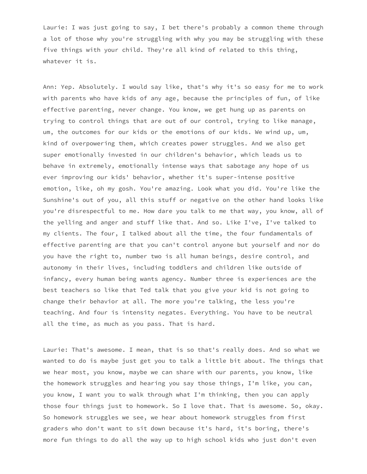Laurie: I was just going to say, I bet there's probably a common theme through a lot of those why you're struggling with why you may be struggling with these five things with your child. They're all kind of related to this thing, whatever it is.

Ann: Yep. Absolutely. I would say like, that's why it's so easy for me to work with parents who have kids of any age, because the principles of fun, of like effective parenting, never change. You know, we get hung up as parents on trying to control things that are out of our control, trying to like manage, um, the outcomes for our kids or the emotions of our kids. We wind up, um, kind of overpowering them, which creates power struggles. And we also get super emotionally invested in our children's behavior, which leads us to behave in extremely, emotionally intense ways that sabotage any hope of us ever improving our kids' behavior, whether it's super-intense positive emotion, like, oh my gosh. You're amazing. Look what you did. You're like the Sunshine's out of you, all this stuff or negative on the other hand looks like you're disrespectful to me. How dare you talk to me that way, you know, all of the yelling and anger and stuff like that. And so. Like I've, I've talked to my clients. The four, I talked about all the time, the four fundamentals of effective parenting are that you can't control anyone but yourself and nor do you have the right to, number two is all human beings, desire control, and autonomy in their lives, including toddlers and children like outside of infancy, every human being wants agency. Number three is experiences are the best teachers so like that Ted talk that you give your kid is not going to change their behavior at all. The more you're talking, the less you're teaching. And four is intensity negates. Everything. You have to be neutral all the time, as much as you pass. That is hard.

Laurie: That's awesome. I mean, that is so that's really does. And so what we wanted to do is maybe just get you to talk a little bit about. The things that we hear most, you know, maybe we can share with our parents, you know, like the homework struggles and hearing you say those things, I'm like, you can, you know, I want you to walk through what I'm thinking, then you can apply those four things just to homework. So I love that. That is awesome. So, okay. So homework struggles we see, we hear about homework struggles from first graders who don't want to sit down because it's hard, it's boring, there's more fun things to do all the way up to high school kids who just don't even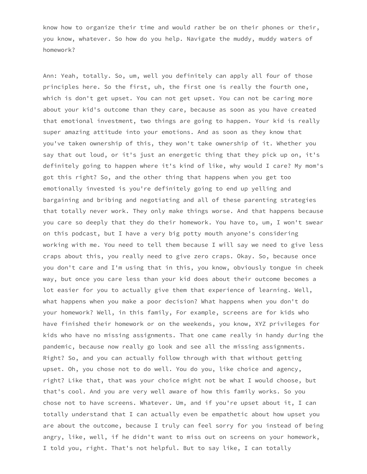know how to organize their time and would rather be on their phones or their, you know, whatever. So how do you help. Navigate the muddy, muddy waters of homework?

Ann: Yeah, totally. So, um, well you definitely can apply all four of those principles here. So the first, uh, the first one is really the fourth one, which is don't get upset. You can not get upset. You can not be caring more about your kid's outcome than they care, because as soon as you have created that emotional investment, two things are going to happen. Your kid is really super amazing attitude into your emotions. And as soon as they know that you've taken ownership of this, they won't take ownership of it. Whether you say that out loud, or it's just an energetic thing that they pick up on, it's definitely going to happen where it's kind of like, why would I care? My mom's got this right? So, and the other thing that happens when you get too emotionally invested is you're definitely going to end up yelling and bargaining and bribing and negotiating and all of these parenting strategies that totally never work. They only make things worse. And that happens because you care so deeply that they do their homework. You have to, um, I won't swear on this podcast, but I have a very big potty mouth anyone's considering working with me. You need to tell them because I will say we need to give less craps about this, you really need to give zero craps. Okay. So, because once you don't care and I'm using that in this, you know, obviously tongue in cheek way, but once you care less than your kid does about their outcome becomes a lot easier for you to actually give them that experience of learning. Well, what happens when you make a poor decision? What happens when you don't do your homework? Well, in this family, For example, screens are for kids who have finished their homework or on the weekends, you know, XYZ privileges for kids who have no missing assignments. That one came really in handy during the pandemic, because now really go look and see all the missing assignments. Right? So, and you can actually follow through with that without getting upset. Oh, you chose not to do well. You do you, like choice and agency, right? Like that, that was your choice might not be what I would choose, but that's cool. And you are very well aware of how this family works. So you chose not to have screens. Whatever. Um, and if you're upset about it, I can totally understand that I can actually even be empathetic about how upset you are about the outcome, because I truly can feel sorry for you instead of being angry, like, well, if he didn't want to miss out on screens on your homework, I told you, right. That's not helpful. But to say like, I can totally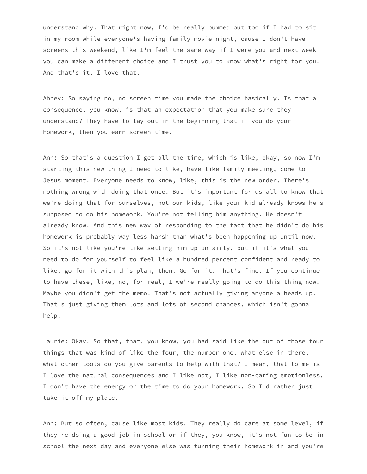understand why. That right now, I'd be really bummed out too if I had to sit in my room while everyone's having family movie night, cause I don't have screens this weekend, like I'm feel the same way if I were you and next week you can make a different choice and I trust you to know what's right for you. And that's it. I love that.

Abbey: So saying no, no screen time you made the choice basically. Is that a consequence, you know, is that an expectation that you make sure they understand? They have to lay out in the beginning that if you do your homework, then you earn screen time.

Ann: So that's a question I get all the time, which is like, okay, so now I'm starting this new thing I need to like, have like family meeting, come to Jesus moment. Everyone needs to know, like, this is the new order. There's nothing wrong with doing that once. But it's important for us all to know that we're doing that for ourselves, not our kids, like your kid already knows he's supposed to do his homework. You're not telling him anything. He doesn't already know. And this new way of responding to the fact that he didn't do his homework is probably way less harsh than what's been happening up until now. So it's not like you're like setting him up unfairly, but if it's what you need to do for yourself to feel like a hundred percent confident and ready to like, go for it with this plan, then. Go for it. That's fine. If you continue to have these, like, no, for real, I we're really going to do this thing now. Maybe you didn't get the memo. That's not actually giving anyone a heads up. That's just giving them lots and lots of second chances, which isn't gonna help.

Laurie: Okay. So that, that, you know, you had said like the out of those four things that was kind of like the four, the number one. What else in there, what other tools do you give parents to help with that? I mean, that to me is I love the natural consequences and I like not, I like non-caring emotionless. I don't have the energy or the time to do your homework. So I'd rather just take it off my plate.

Ann: But so often, cause like most kids. They really do care at some level, if they're doing a good job in school or if they, you know, it's not fun to be in school the next day and everyone else was turning their homework in and you're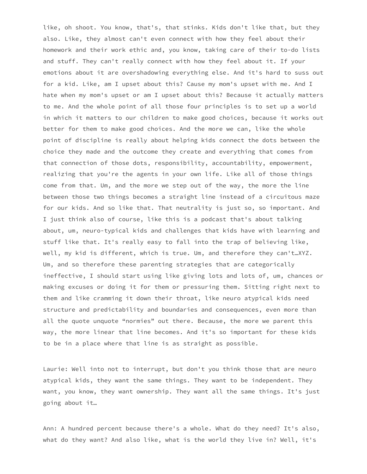like, oh shoot. You know, that's, that stinks. Kids don't like that, but they also. Like, they almost can't even connect with how they feel about their homework and their work ethic and, you know, taking care of their to-do lists and stuff. They can't really connect with how they feel about it. If your emotions about it are overshadowing everything else. And it's hard to suss out for a kid. Like, am I upset about this? Cause my mom's upset with me. And I hate when my mom's upset or am I upset about this? Because it actually matters to me. And the whole point of all those four principles is to set up a world in which it matters to our children to make good choices, because it works out better for them to make good choices. And the more we can, like the whole point of discipline is really about helping kids connect the dots between the choice they made and the outcome they create and everything that comes from that connection of those dots, responsibility, accountability, empowerment, realizing that you're the agents in your own life. Like all of those things come from that. Um, and the more we step out of the way, the more the line between those two things becomes a straight line instead of a circuitous maze for our kids. And so like that. That neutrality is just so, so important. And I just think also of course, like this is a podcast that's about talking about, um, neuro-typical kids and challenges that kids have with learning and stuff like that. It's really easy to fall into the trap of believing like, well, my kid is different, which is true. Um, and therefore they can't…XYZ. Um, and so therefore these parenting strategies that are categorically ineffective, I should start using like giving lots and lots of, um, chances or making excuses or doing it for them or pressuring them. Sitting right next to them and like cramming it down their throat, like neuro atypical kids need structure and predictability and boundaries and consequences, even more than all the quote unquote "normies" out there. Because, the more we parent this way, the more linear that line becomes. And it's so important for these kids to be in a place where that line is as straight as possible.

Laurie: Well into not to interrupt, but don't you think those that are neuro atypical kids, they want the same things. They want to be independent. They want, you know, they want ownership. They want all the same things. It's just going about it…

Ann: A hundred percent because there's a whole. What do they need? It's also, what do they want? And also like, what is the world they live in? Well, it's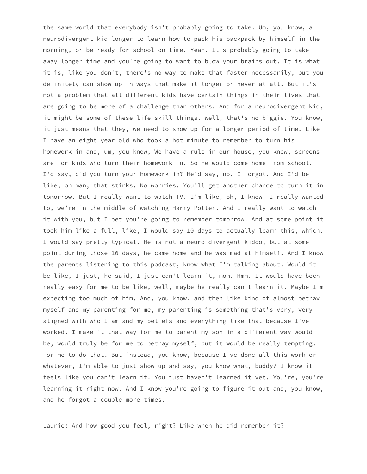the same world that everybody isn't probably going to take. Um, you know, a neurodivergent kid longer to learn how to pack his backpack by himself in the morning, or be ready for school on time. Yeah. It's probably going to take away longer time and you're going to want to blow your brains out. It is what it is, like you don't, there's no way to make that faster necessarily, but you definitely can show up in ways that make it longer or never at all. But it's not a problem that all different kids have certain things in their lives that are going to be more of a challenge than others. And for a neurodivergent kid, it might be some of these life skill things. Well, that's no biggie. You know, it just means that they, we need to show up for a longer period of time. Like I have an eight year old who took a hot minute to remember to turn his homework in and, um, you know, We have a rule in our house, you know, screens are for kids who turn their homework in. So he would come home from school. I'd say, did you turn your homework in? He'd say, no, I forgot. And I'd be like, oh man, that stinks. No worries. You'll get another chance to turn it in tomorrow. But I really want to watch TV. I'm like, oh, I know. I really wanted to, we're in the middle of watching Harry Potter. And I really want to watch it with you, but I bet you're going to remember tomorrow. And at some point it took him like a full, like, I would say 10 days to actually learn this, which. I would say pretty typical. He is not a neuro divergent kiddo, but at some point during those 10 days, he came home and he was mad at himself. And I know the parents listening to this podcast, know what I'm talking about. Would it be like, I just, he said, I just can't learn it, mom. Hmm. It would have been really easy for me to be like, well, maybe he really can't learn it. Maybe I'm expecting too much of him. And, you know, and then like kind of almost betray myself and my parenting for me, my parenting is something that's very, very aligned with who I am and my beliefs and everything like that because I've worked. I make it that way for me to parent my son in a different way would be, would truly be for me to betray myself, but it would be really tempting. For me to do that. But instead, you know, because I've done all this work or whatever, I'm able to just show up and say, you know what, buddy? I know it feels like you can't learn it. You just haven't learned it yet. You're, you're learning it right now. And I know you're going to figure it out and, you know, and he forgot a couple more times.

Laurie: And how good you feel, right? Like when he did remember it?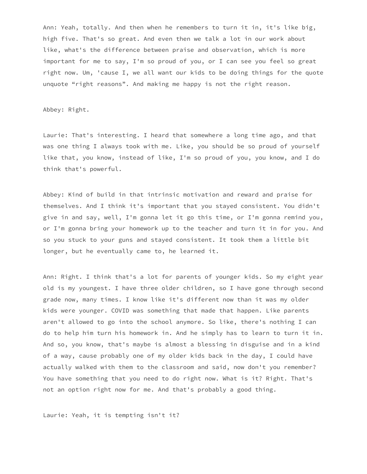Ann: Yeah, totally. And then when he remembers to turn it in, it's like big, high five. That's so great. And even then we talk a lot in our work about like, what's the difference between praise and observation, which is more important for me to say, I'm so proud of you, or I can see you feel so great right now. Um, 'cause I, we all want our kids to be doing things for the quote unquote "right reasons". And making me happy is not the right reason.

## Abbey: Right.

Laurie: That's interesting. I heard that somewhere a long time ago, and that was one thing I always took with me. Like, you should be so proud of yourself like that, you know, instead of like, I'm so proud of you, you know, and I do think that's powerful.

Abbey: Kind of build in that intrinsic motivation and reward and praise for themselves. And I think it's important that you stayed consistent. You didn't give in and say, well, I'm gonna let it go this time, or I'm gonna remind you, or I'm gonna bring your homework up to the teacher and turn it in for you. And so you stuck to your guns and stayed consistent. It took them a little bit longer, but he eventually came to, he learned it.

Ann: Right. I think that's a lot for parents of younger kids. So my eight year old is my youngest. I have three older children, so I have gone through second grade now, many times. I know like it's different now than it was my older kids were younger. COVID was something that made that happen. Like parents aren't allowed to go into the school anymore. So like, there's nothing I can do to help him turn his homework in. And he simply has to learn to turn it in. And so, you know, that's maybe is almost a blessing in disguise and in a kind of a way, cause probably one of my older kids back in the day, I could have actually walked with them to the classroom and said, now don't you remember? You have something that you need to do right now. What is it? Right. That's not an option right now for me. And that's probably a good thing.

Laurie: Yeah, it is tempting isn't it?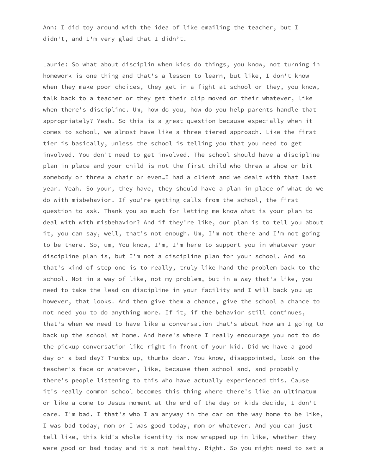Ann: I did toy around with the idea of like emailing the teacher, but I didn't, and I'm very glad that I didn't.

Laurie: So what about disciplin when kids do things, you know, not turning in homework is one thing and that's a lesson to learn, but like, I don't know when they make poor choices, they get in a fight at school or they, you know, talk back to a teacher or they get their clip moved or their whatever, like when there's discipline. Um, how do you, how do you help parents handle that appropriately? Yeah. So this is a great question because especially when it comes to school, we almost have like a three tiered approach. Like the first tier is basically, unless the school is telling you that you need to get involved. You don't need to get involved. The school should have a discipline plan in place and your child is not the first child who threw a shoe or bit somebody or threw a chair or even…I had a client and we dealt with that last year. Yeah. So your, they have, they should have a plan in place of what do we do with misbehavior. If you're getting calls from the school, the first question to ask. Thank you so much for letting me know what is your plan to deal with with misbehavior? And if they're like, our plan is to tell you about it, you can say, well, that's not enough. Um, I'm not there and I'm not going to be there. So, um, You know, I'm, I'm here to support you in whatever your discipline plan is, but I'm not a discipline plan for your school. And so that's kind of step one is to really, truly like hand the problem back to the school. Not in a way of like, not my problem, but in a way that's like, you need to take the lead on discipline in your facility and I will back you up however, that looks. And then give them a chance, give the school a chance to not need you to do anything more. If it, if the behavior still continues, that's when we need to have like a conversation that's about how am I going to back up the school at home. And here's where I really encourage you not to do the pickup conversation like right in front of your kid. Did we have a good day or a bad day? Thumbs up, thumbs down. You know, disappointed, look on the teacher's face or whatever, like, because then school and, and probably there's people listening to this who have actually experienced this. Cause it's really common school becomes this thing where there's like an ultimatum or like a come to Jesus moment at the end of the day or kids decide, I don't care. I'm bad. I that's who I am anyway in the car on the way home to be like, I was bad today, mom or I was good today, mom or whatever. And you can just tell like, this kid's whole identity is now wrapped up in like, whether they were good or bad today and it's not healthy. Right. So you might need to set a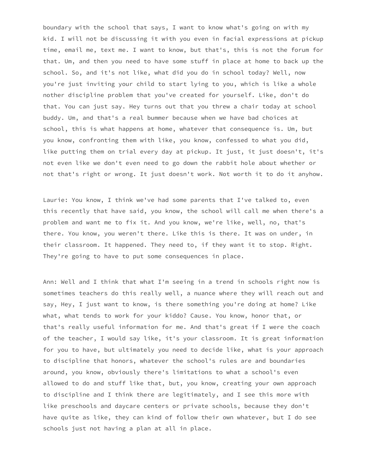boundary with the school that says, I want to know what's going on with my kid. I will not be discussing it with you even in facial expressions at pickup time, email me, text me. I want to know, but that's, this is not the forum for that. Um, and then you need to have some stuff in place at home to back up the school. So, and it's not like, what did you do in school today? Well, now you're just inviting your child to start lying to you, which is like a whole nother discipline problem that you've created for yourself. Like, don't do that. You can just say. Hey turns out that you threw a chair today at school buddy. Um, and that's a real bummer because when we have bad choices at school, this is what happens at home, whatever that consequence is. Um, but you know, confronting them with like, you know, confessed to what you did, like putting them on trial every day at pickup. It just, it just doesn't, it's not even like we don't even need to go down the rabbit hole about whether or not that's right or wrong. It just doesn't work. Not worth it to do it anyhow.

Laurie: You know, I think we've had some parents that I've talked to, even this recently that have said, you know, the school will call me when there's a problem and want me to fix it. And you know, we're like, well, no, that's there. You know, you weren't there. Like this is there. It was on under, in their classroom. It happened. They need to, if they want it to stop. Right. They're going to have to put some consequences in place.

Ann: Well and I think that what I'm seeing in a trend in schools right now is sometimes teachers do this really well, a nuance where they will reach out and say, Hey, I just want to know, is there something you're doing at home? Like what, what tends to work for your kiddo? Cause. You know, honor that, or that's really useful information for me. And that's great if I were the coach of the teacher, I would say like, it's your classroom. It is great information for you to have, but ultimately you need to decide like, what is your approach to discipline that honors, whatever the school's rules are and boundaries around, you know, obviously there's limitations to what a school's even allowed to do and stuff like that, but, you know, creating your own approach to discipline and I think there are legitimately, and I see this more with like preschools and daycare centers or private schools, because they don't have quite as like, they can kind of follow their own whatever, but I do see schools just not having a plan at all in place.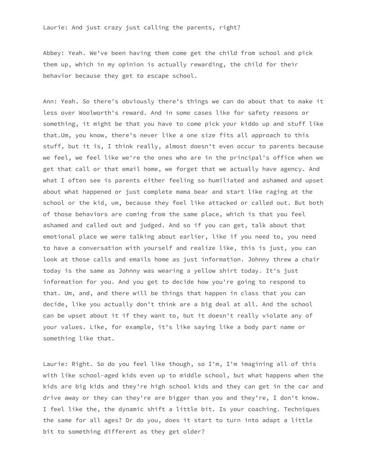Abbey: Yeah. We've been having them come get the child from school and pick them up, which in my opinion is actually rewarding, the child for their behavior because they get to escape school.

Ann: Yeah. So there's obviously there's things we can do about that to make it less over Woolworth's reward. And in some cases like for safety reasons or something, it might be that you have to come pick your kiddo up and stuff like that.Um, you know, there's never like a one size fits all approach to this stuff, but it is, I think really, almost doesn't even occur to parents because we feel, we feel like we're the ones who are in the principal's office when we get that call or that email home, we forget that we actually have agency. And what I often see is parents either feeling so humiliated and ashamed and upset about what happened or just complete mama bear and start like raging at the school or the kid, um, because they feel like attacked or called out. But both of those behaviors are coming from the same place, which is that you feel ashamed and called out and judged. And so if you can get, talk about that emotional place we were talking about earlier, like if you need to, you need to have a conversation with yourself and realize like, this is just, you can look at those calls and emails home as just information. Johnny threw a chair today is the same as Johnny was wearing a yellow shirt today. It's just information for you. And you get to decide how you're going to respond to that. Um, and, and there will be things that happen in class that you can decide, like you actually don't think are a big deal at all. And the school can be upset about it if they want to, but it doesn't really violate any of your values. Like, for example, it's like saying like a body part name or something like that.

Laurie: Right. So do you feel like though, so I'm, I'm imagining all of this with like school-aged kids even up to middle school, but what happens when the kids are big kids and they're high school kids and they can get in the car and drive away or they can they're are bigger than you and they're, I don't know. I feel like the, the dynamic shift a little bit. Is your coaching. Techniques the same for all ages? Or do you, does it start to turn into adapt a little bit to something different as they get older?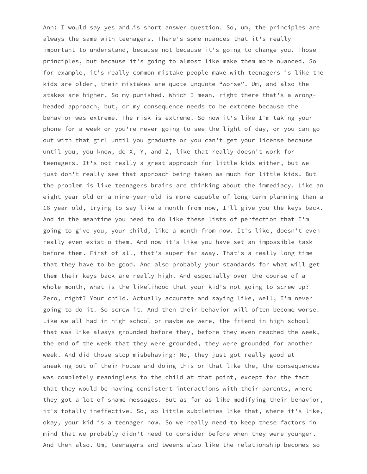Ann: I would say yes and…is short answer question. So, um, the principles are always the same with teenagers. There's some nuances that it's really important to understand, because not because it's going to change you. Those principles, but because it's going to almost like make them more nuanced. So for example, it's really common mistake people make with teenagers is like the kids are older, their mistakes are quote unquote "worse". Um, and also the stakes are higher. So my punished. Which I mean, right there that's a wrongheaded approach, but, or my consequence needs to be extreme because the behavior was extreme. The risk is extreme. So now it's like I'm taking your phone for a week or you're never going to see the light of day, or you can go out with that girl until you graduate or you can't get your license because until you, you know, do X, Y, and Z, like that really doesn't work for teenagers. It's not really a great approach for little kids either, but we just don't really see that approach being taken as much for little kids. But the problem is like teenagers brains are thinking about the immediacy. Like an eight year old or a nine-year-old is more capable of long-term planning than a 16 year old, trying to say like a month from now, I'll give you the keys back. And in the meantime you need to do like these lists of perfection that I'm going to give you, your child, like a month from now. It's like, doesn't even really even exist o them. And now it's like you have set an impossible task before them. First of all, that's super far away. That's a really long time that they have to be good. And also probably your standards for what will get them their keys back are really high. And especially over the course of a whole month, what is the likelihood that your kid's not going to screw up? Zero, right? Your child. Actually accurate and saying like, well, I'm never going to do it. So screw it. And then their behavior will often become worse. Like we all had in high school or maybe we were, the friend in high school that was like always grounded before they, before they even reached the week, the end of the week that they were grounded, they were grounded for another week. And did those stop misbehaving? No, they just got really good at sneaking out of their house and doing this or that like the, the consequences was completely meaningless to the child at that point, except for the fact that they would be having consistent interactions with their parents, where they got a lot of shame messages. But as far as like modifying their behavior, it's totally ineffective. So, so little subtleties like that, where it's like, okay, your kid is a teenager now. So we really need to keep these factors in mind that we probably didn't need to consider before when they were younger. And then also. Um, teenagers and tweens also like the relationship becomes so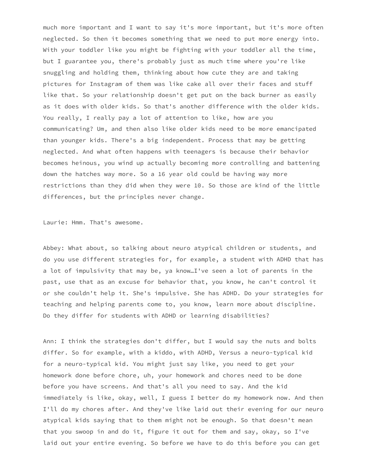much more important and I want to say it's more important, but it's more often neglected. So then it becomes something that we need to put more energy into. With your toddler like you might be fighting with your toddler all the time, but I guarantee you, there's probably just as much time where you're like snuggling and holding them, thinking about how cute they are and taking pictures for Instagram of them was like cake all over their faces and stuff like that. So your relationship doesn't get put on the back burner as easily as it does with older kids. So that's another difference with the older kids. You really, I really pay a lot of attention to like, how are you communicating? Um, and then also like older kids need to be more emancipated than younger kids. There's a big independent. Process that may be getting neglected. And what often happens with teenagers is because their behavior becomes heinous, you wind up actually becoming more controlling and battening down the hatches way more. So a 16 year old could be having way more restrictions than they did when they were 10. So those are kind of the little differences, but the principles never change.

Laurie: Hmm. That's awesome.

Abbey: What about, so talking about neuro atypical children or students, and do you use different strategies for, for example, a student with ADHD that has a lot of impulsivity that may be, ya know…I've seen a lot of parents in the past, use that as an excuse for behavior that, you know, he can't control it or she couldn't help it. She's impulsive. She has ADHD. Do your strategies for teaching and helping parents come to, you know, learn more about discipline. Do they differ for students with ADHD or learning disabilities?

Ann: I think the strategies don't differ, but I would say the nuts and bolts differ. So for example, with a kiddo, with ADHD, Versus a neuro-typical kid for a neuro-typical kid. You might just say like, you need to get your homework done before chore, uh, your homework and chores need to be done before you have screens. And that's all you need to say. And the kid immediately is like, okay, well, I guess I better do my homework now. And then I'll do my chores after. And they've like laid out their evening for our neuro atypical kids saying that to them might not be enough. So that doesn't mean that you swoop in and do it, figure it out for them and say, okay, so I've laid out your entire evening. So before we have to do this before you can get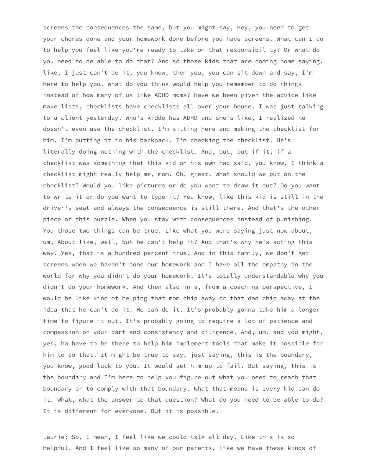screens the consequences the same, but you might say, Hey, you need to get your chores done and your homework done before you have screens. What can I do to help you feel like you're ready to take on that responsibility? Or what do you need to be able to do that? And so those kids that are coming home saying, like, I just can't do it, you know, then you, you can sit down and say, I'm here to help you. What do you think would help you remember to do things instead of how many of us like ADHD moms? Have we been given the advice like make lists, checklists have checklists all over your house. I was just talking to a client yesterday. Who's kiddo has ADHD and she's like, I realized he doesn't even use the checklist. I'm sitting here and making the checklist for him. I'm putting it in his backpack. I'm checking the checklist. He's literally doing nothing with the checklist. And, but, but if it, if a checklist was something that this kid on his own had said, you know, I think a checklist might really help me, mom. Oh, great. What should we put on the checklist? Would you like pictures or do you want to draw it out? Do you want to write it or do you want to type it? You know, like this kid is still in the driver's seat and always the consequence is still there. And that's the other piece of this puzzle. When you stay with consequences instead of punishing. You those two things can be true. Like what you were saying just now about, um, About like, well, but he can't help it? And that's why he's acting this way. Yes, that is a hundred percent true. And in this family, we don't get screens when we haven't done our homework and I have all the empathy in the world for why you didn't do your homework. It's totally understandable why you didn't do your homework. And then also in a, from a coaching perspective, I would be like kind of helping that mom chip away or that dad chip away at the idea that he can't do it. He can do it. It's probably gonna take him a longer time to figure it out. It's probably going to require a lot of patience and compassion on your part and consistency and diligence. And, um, and you might, yes, ha have to be there to help him implement tools that make it possible for him to do that. It might be true to say, just saying, this is the boundary, you know, good luck to you. It would set him up to fail. But saying, this is the boundary and I'm here to help you figure out what you need to reach that boundary or to comply with that boundary. What that means is every kid can do it. What, what the answer to that question? What do you need to be able to do? It is different for everyone. But it is possible.

Laurie: So, I mean, I feel like we could talk all day. Like this is so helpful. And I feel like so many of our parents, like we have these kinds of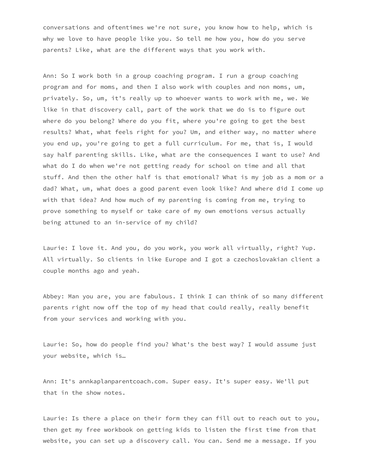conversations and oftentimes we're not sure, you know how to help, which is why we love to have people like you. So tell me how you, how do you serve parents? Like, what are the different ways that you work with.

Ann: So I work both in a group coaching program. I run a group coaching program and for moms, and then I also work with couples and non moms, um, privately. So, um, it's really up to whoever wants to work with me, we. We like in that discovery call, part of the work that we do is to figure out where do you belong? Where do you fit, where you're going to get the best results? What, what feels right for you? Um, and either way, no matter where you end up, you're going to get a full curriculum. For me, that is, I would say half parenting skills. Like, what are the consequences I want to use? And what do I do when we're not getting ready for school on time and all that stuff. And then the other half is that emotional? What is my job as a mom or a dad? What, um, what does a good parent even look like? And where did I come up with that idea? And how much of my parenting is coming from me, trying to prove something to myself or take care of my own emotions versus actually being attuned to an in-service of my child?

Laurie: I love it. And you, do you work, you work all virtually, right? Yup. All virtually. So clients in like Europe and I got a czechoslovakian client a couple months ago and yeah.

Abbey: Man you are, you are fabulous. I think I can think of so many different parents right now off the top of my head that could really, really benefit from your services and working with you.

Laurie: So, how do people find you? What's the best way? I would assume just your website, which is…

Ann: It's annkaplanparentcoach.com. Super easy. It's super easy. We'll put that in the show notes.

Laurie: Is there a place on their form they can fill out to reach out to you, then get my free workbook on getting kids to listen the first time from that website, you can set up a discovery call. You can. Send me a message. If you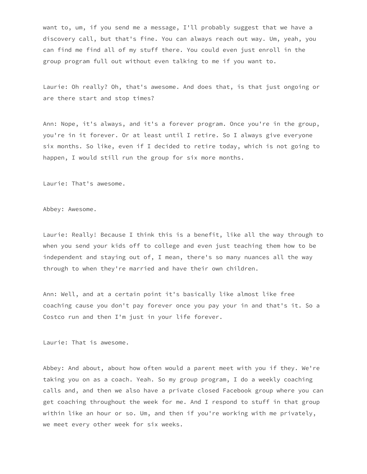want to, um, if you send me a message, I'll probably suggest that we have a discovery call, but that's fine. You can always reach out way. Um, yeah, you can find me find all of my stuff there. You could even just enroll in the group program full out without even talking to me if you want to.

Laurie: Oh really? Oh, that's awesome. And does that, is that just ongoing or are there start and stop times?

Ann: Nope, it's always, and it's a forever program. Once you're in the group, you're in it forever. Or at least until I retire. So I always give everyone six months. So like, even if I decided to retire today, which is not going to happen, I would still run the group for six more months.

Laurie: That's awesome.

Abbey: Awesome.

Laurie: Really! Because I think this is a benefit, like all the way through to when you send your kids off to college and even just teaching them how to be independent and staying out of, I mean, there's so many nuances all the way through to when they're married and have their own children.

Ann: Well, and at a certain point it's basically like almost like free coaching cause you don't pay forever once you pay your in and that's it. So a Costco run and then I'm just in your life forever.

Laurie: That is awesome.

Abbey: And about, about how often would a parent meet with you if they. We're taking you on as a coach. Yeah. So my group program, I do a weekly coaching calls and, and then we also have a private closed Facebook group where you can get coaching throughout the week for me. And I respond to stuff in that group within like an hour or so. Um, and then if you're working with me privately, we meet every other week for six weeks.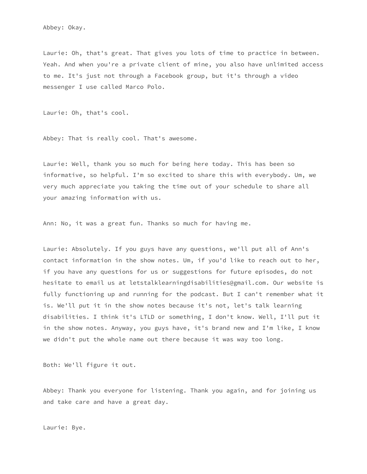Laurie: Oh, that's great. That gives you lots of time to practice in between. Yeah. And when you're a private client of mine, you also have unlimited access to me. It's just not through a Facebook group, but it's through a video messenger I use called Marco Polo.

Laurie: Oh, that's cool.

Abbey: That is really cool. That's awesome.

Laurie: Well, thank you so much for being here today. This has been so informative, so helpful. I'm so excited to share this with everybody. Um, we very much appreciate you taking the time out of your schedule to share all your amazing information with us.

Ann: No, it was a great fun. Thanks so much for having me.

Laurie: Absolutely. If you guys have any questions, we'll put all of Ann's contact information in the show notes. Um, if you'd like to reach out to her, if you have any questions for us or suggestions for future episodes, do not hesitate to email us at letstalklearningdisabilities@gmail.com. Our website is fully functioning up and running for the podcast. But I can't remember what it is. We'll put it in the show notes because it's not, let's talk learning disabilities. I think it's LTLD or something, I don't know. Well, I'll put it in the show notes. Anyway, you guys have, it's brand new and I'm like, I know we didn't put the whole name out there because it was way too long.

Both: We'll figure it out.

Abbey: Thank you everyone for listening. Thank you again, and for joining us and take care and have a great day.

Laurie: Bye.